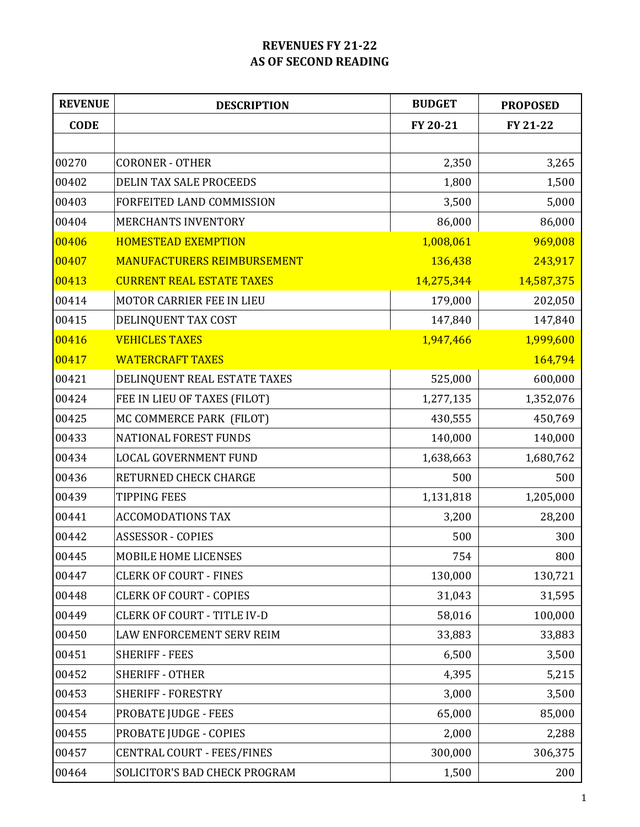## **REVENUES FY 21-22 AS OF SECOND READING**

| <b>REVENUE</b> | <b>DESCRIPTION</b>                 | <b>BUDGET</b> | <b>PROPOSED</b> |  |
|----------------|------------------------------------|---------------|-----------------|--|
| <b>CODE</b>    |                                    | FY 20-21      | FY 21-22        |  |
|                |                                    |               |                 |  |
| 00270          | <b>CORONER - OTHER</b>             | 2,350         | 3,265           |  |
| 00402          | <b>DELIN TAX SALE PROCEEDS</b>     | 1,800         | 1,500           |  |
| 00403          | FORFEITED LAND COMMISSION          | 3,500         | 5,000           |  |
| 00404          | <b>MERCHANTS INVENTORY</b>         | 86,000        | 86,000          |  |
| 00406          | <b>HOMESTEAD EXEMPTION</b>         | 1,008,061     | 969,008         |  |
| 00407          | <b>MANUFACTURERS REIMBURSEMENT</b> | 136,438       | 243,917         |  |
| 00413          | <b>CURRENT REAL ESTATE TAXES</b>   | 14,275,344    | 14,587,375      |  |
| 00414          | MOTOR CARRIER FEE IN LIEU          | 179,000       | 202,050         |  |
| 00415          | DELINQUENT TAX COST                | 147,840       | 147,840         |  |
| 00416          | <b>VEHICLES TAXES</b>              | 1,947,466     | 1,999,600       |  |
| 00417          | <b>WATERCRAFT TAXES</b>            |               | 164,794         |  |
| 00421          | DELINQUENT REAL ESTATE TAXES       | 525,000       | 600,000         |  |
| 00424          | FEE IN LIEU OF TAXES (FILOT)       | 1,277,135     | 1,352,076       |  |
| 00425          | MC COMMERCE PARK (FILOT)           | 430,555       | 450,769         |  |
| 00433          | <b>NATIONAL FOREST FUNDS</b>       | 140,000       | 140,000         |  |
| 00434          | <b>LOCAL GOVERNMENT FUND</b>       | 1,638,663     | 1,680,762       |  |
| 00436          | RETURNED CHECK CHARGE              | 500           | 500             |  |
| 00439          | <b>TIPPING FEES</b>                | 1,131,818     | 1,205,000       |  |
| 00441          | <b>ACCOMODATIONS TAX</b>           | 3,200         | 28,200          |  |
| 00442          | <b>ASSESSOR - COPIES</b>           | 500           | 300             |  |
| 00445          | MOBILE HOME LICENSES               | 754           | 800             |  |
| 00447          | <b>CLERK OF COURT - FINES</b>      | 130,000       | 130,721         |  |
| 00448          | <b>CLERK OF COURT - COPIES</b>     | 31,043        | 31,595          |  |
| 00449          | <b>CLERK OF COURT - TITLE IV-D</b> | 58,016        | 100,000         |  |
| 00450          | LAW ENFORCEMENT SERV REIM          | 33,883        | 33,883          |  |
| 00451          | <b>SHERIFF - FEES</b>              | 6,500         | 3,500           |  |
| 00452          | <b>SHERIFF - OTHER</b>             | 4,395         | 5,215           |  |
| 00453          | <b>SHERIFF - FORESTRY</b>          | 3,000         | 3,500           |  |
| 00454          | PROBATE JUDGE - FEES               | 65,000        | 85,000          |  |
| 00455          | PROBATE JUDGE - COPIES             | 2,000         | 2,288           |  |
| 00457          | CENTRAL COURT - FEES/FINES         | 300,000       | 306,375         |  |
| 00464          | SOLICITOR'S BAD CHECK PROGRAM      | 1,500         | 200             |  |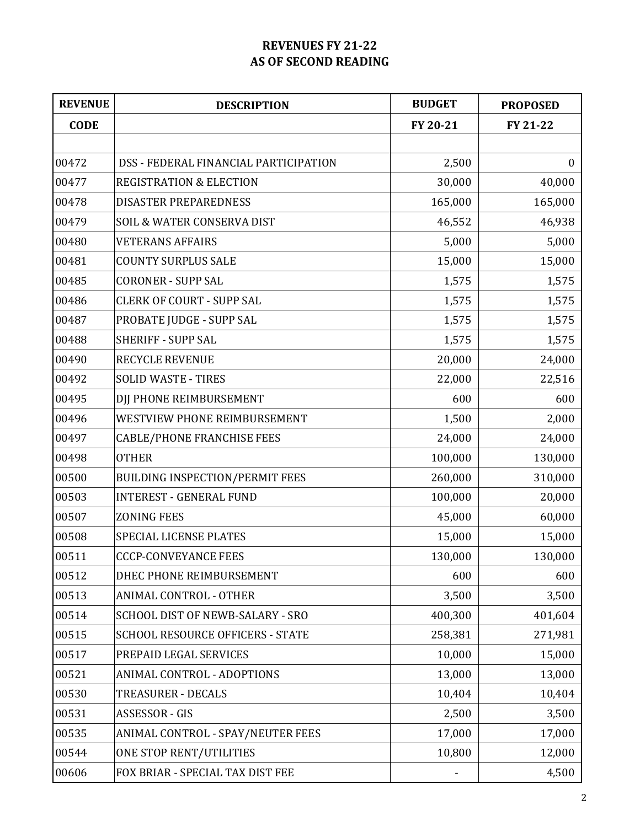## **REVENUES FY 21-22 AS OF SECOND READING**

| <b>REVENUE</b> | <b>DESCRIPTION</b>                     | <b>BUDGET</b> | <b>PROPOSED</b> |  |
|----------------|----------------------------------------|---------------|-----------------|--|
| <b>CODE</b>    |                                        | FY 20-21      | FY 21-22        |  |
|                |                                        |               |                 |  |
| 00472          | DSS - FEDERAL FINANCIAL PARTICIPATION  | 2,500         | $\mathbf{0}$    |  |
| 00477          | <b>REGISTRATION &amp; ELECTION</b>     | 30,000        | 40,000          |  |
| 00478          | <b>DISASTER PREPAREDNESS</b>           | 165,000       | 165,000         |  |
| 00479          | <b>SOIL &amp; WATER CONSERVA DIST</b>  | 46,552        | 46,938          |  |
| 00480          | <b>VETERANS AFFAIRS</b>                | 5,000         | 5,000           |  |
| 00481          | <b>COUNTY SURPLUS SALE</b>             | 15,000        | 15,000          |  |
| 00485          | <b>CORONER - SUPP SAL</b>              | 1,575         | 1,575           |  |
| 00486          | <b>CLERK OF COURT - SUPP SAL</b>       | 1,575         | 1,575           |  |
| 00487          | PROBATE JUDGE - SUPP SAL               | 1,575         | 1,575           |  |
| 00488          | <b>SHERIFF - SUPP SAL</b>              | 1,575         | 1,575           |  |
| 00490          | <b>RECYCLE REVENUE</b>                 | 20,000        | 24,000          |  |
| 00492          | <b>SOLID WASTE - TIRES</b>             | 22,000        | 22,516          |  |
| 00495          | DJJ PHONE REIMBURSEMENT                | 600           | 600             |  |
| 00496          | WESTVIEW PHONE REIMBURSEMENT           | 1,500         | 2,000           |  |
| 00497          | <b>CABLE/PHONE FRANCHISE FEES</b>      | 24,000        | 24,000          |  |
| 00498          | <b>OTHER</b>                           | 100,000       | 130,000         |  |
| 00500          | <b>BUILDING INSPECTION/PERMIT FEES</b> | 260,000       | 310,000         |  |
| 00503          | <b>INTEREST - GENERAL FUND</b>         | 100,000       | 20,000          |  |
| 00507          | <b>ZONING FEES</b>                     | 45,000        | 60,000          |  |
| 00508          | SPECIAL LICENSE PLATES                 | 15,000        | 15,000          |  |
| 00511          | <b>CCCP-CONVEYANCE FEES</b>            | 130,000       | 130,000         |  |
| 00512          | DHEC PHONE REIMBURSEMENT               | 600           | 600             |  |
| 00513          | ANIMAL CONTROL - OTHER                 | 3,500         | 3,500           |  |
| 00514          | SCHOOL DIST OF NEWB-SALARY - SRO       | 400,300       | 401,604         |  |
| 00515          | SCHOOL RESOURCE OFFICERS - STATE       | 258,381       | 271,981         |  |
| 00517          | PREPAID LEGAL SERVICES                 | 10,000        | 15,000          |  |
| 00521          | ANIMAL CONTROL - ADOPTIONS             | 13,000        | 13,000          |  |
| 00530          | TREASURER - DECALS                     | 10,404        | 10,404          |  |
| 00531          | ASSESSOR - GIS                         | 2,500         | 3,500           |  |
| 00535          | ANIMAL CONTROL - SPAY/NEUTER FEES      | 17,000        | 17,000          |  |
| 00544          | ONE STOP RENT/UTILITIES                | 10,800        | 12,000          |  |
| 00606          | FOX BRIAR - SPECIAL TAX DIST FEE       |               | 4,500           |  |